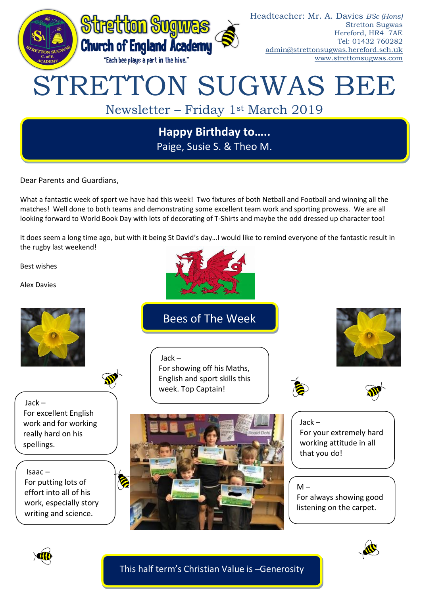

**Happy Birthday to…..** Paige, Susie S. & Theo M.

Dear Parents and Guardians,

What a fantastic week of sport we have had this week! Two fixtures of both Netball and Football and winning all the matches! Well done to both teams and demonstrating some excellent team work and sporting prowess. We are all looking forward to World Book Day with lots of decorating of T-Shirts and maybe the odd dressed up character too!

It does seem a long time ago, but with it being St David's day…I would like to remind everyone of the fantastic result in the rugby last weekend!

Best wishes

Alex Davies



Bees of The Week

For showing off his Maths, English and sport skills this

week. Top Captain!

Jack –



Jack – For excellent English work and for working really hard on his spellings.

Isaac – For putting lots of effort into all of his work, especially story writing and science.



Jack – For your extremely hard working attitude in all that you do!



For always showing good listening on the carpet.



This half term's Christian Value is –Generosity